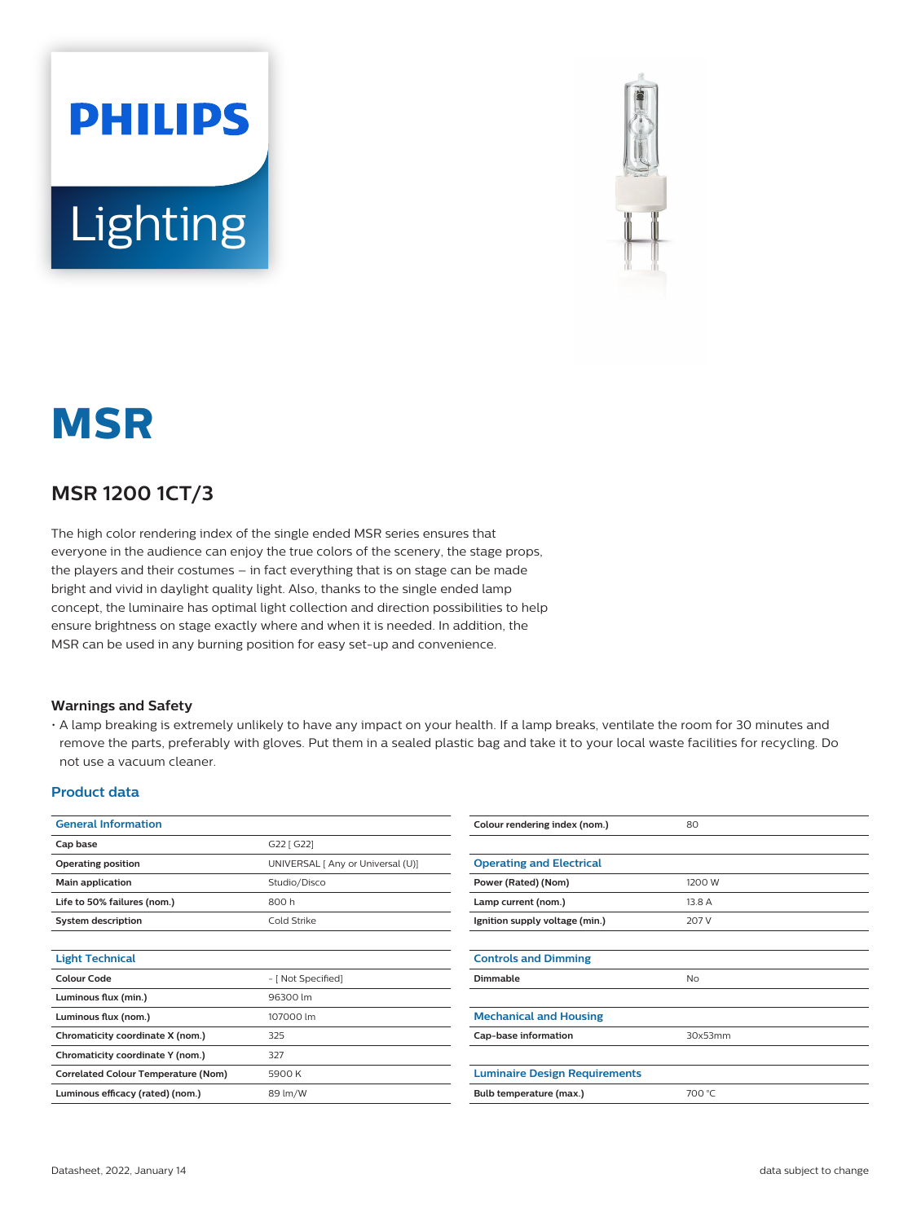



# **MSR**

### **MSR 1200 1CT/3**

The high color rendering index of the single ended MSR series ensures that everyone in the audience can enjoy the true colors of the scenery, the stage props, the players and their costumes – in fact everything that is on stage can be made bright and vivid in daylight quality light. Also, thanks to the single ended lamp concept, the luminaire has optimal light collection and direction possibilities to help ensure brightness on stage exactly where and when it is needed. In addition, the MSR can be used in any burning position for easy set-up and convenience.

#### **Warnings and Safety**

• A lamp breaking is extremely unlikely to have any impact on your health. If a lamp breaks, ventilate the room for 30 minutes and remove the parts, preferably with gloves. Put them in a sealed plastic bag and take it to your local waste facilities for recycling. Do not use a vacuum cleaner.

#### **Product data**

| <b>General Information</b>                 |                                   | Colour rendering index (nom.)        | 80        |  |  |
|--------------------------------------------|-----------------------------------|--------------------------------------|-----------|--|--|
| Cap base                                   | G22 [ G22]                        |                                      |           |  |  |
| Operating position                         | UNIVERSAL [ Any or Universal (U)] | <b>Operating and Electrical</b>      |           |  |  |
| Main application                           | Studio/Disco                      | Power (Rated) (Nom)<br>1200 W        |           |  |  |
| Life to 50% failures (nom.)                | 800h                              | Lamp current (nom.)<br>13.8 A        |           |  |  |
| <b>System description</b>                  | Cold Strike                       | Ignition supply voltage (min.)       | 207 V     |  |  |
|                                            |                                   |                                      |           |  |  |
| <b>Light Technical</b>                     |                                   | <b>Controls and Dimming</b>          |           |  |  |
| <b>Colour Code</b>                         | - [ Not Specified]                | Dimmable                             | <b>No</b> |  |  |
| Luminous flux (min.)                       | 96300 lm                          |                                      |           |  |  |
| Luminous flux (nom.)                       | 107000 lm                         | <b>Mechanical and Housing</b>        |           |  |  |
| Chromaticity coordinate X (nom.)           | 325                               | Cap-base information                 | 30x53mm   |  |  |
| Chromaticity coordinate Y (nom.)           | 327                               |                                      |           |  |  |
| <b>Correlated Colour Temperature (Nom)</b> | 5900 K                            | <b>Luminaire Design Requirements</b> |           |  |  |
| Luminous efficacy (rated) (nom.)           | 89 lm/W                           | Bulb temperature (max.)              | 700 °C    |  |  |
|                                            |                                   |                                      |           |  |  |